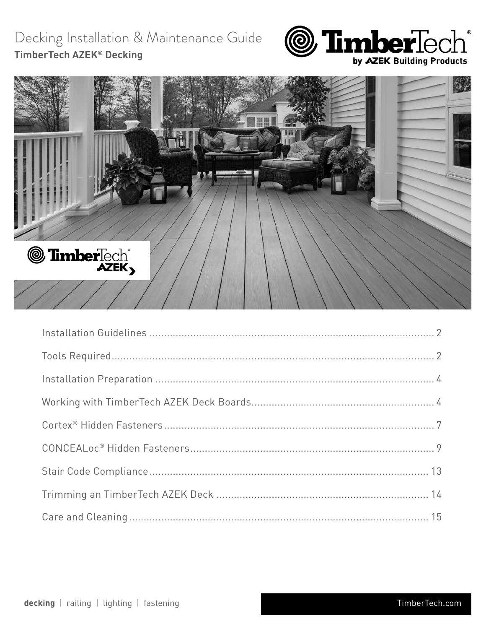# Decking Installation & Maintenance Guide TimberTech AZEK® Decking



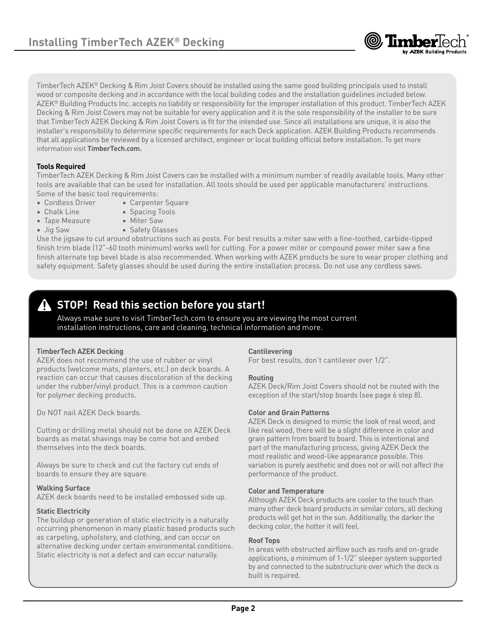

TimberTech AZEK® Decking & Rim Joist Covers should be installed using the same good building principals used to install wood or composite decking and in accordance with the local building codes and the installation guidelines included below. AZEK® Building Products Inc. accepts no liability or responsibility for the improper installation of this product. TimberTech AZEK Decking & Rim Joist Covers may not be suitable for every application and it is the sole responsibility of the installer to be sure that TimberTech AZEK Decking & Rim Joist Covers is fit for the intended use. Since all installations are unique, it is also the installer's responsibility to determine specific requirements for each Deck application. AZEK Building Products recommends that all applications be reviewed by a licensed architect, engineer or local building official before installation. To get more information visit **TimberTech.com.**

### **Tools Required**

TimberTech AZEK Decking & Rim Joist Covers can be installed with a minimum number of readily available tools. Many other tools are available that can be used for installation. All tools should be used per applicable manufacturers' instructions. Some of the basic tool requirements:

- Cordless Driver Carpenter Square
	-
- Chalk Line Spacing Tools
- Tape Measure Miter Saw
- 
- Jig Saw Safety Glasses

Use the jigsaw to cut around obstructions such as posts. For best results a miter saw with a fine-toothed, carbide-tipped finish trim blade (12"-60 tooth minimum) works well for cutting. For a power miter or compound power miter saw a fine finish alternate top bevel blade is also recommended. When working with AZEK products be sure to wear proper clothing and safety equipment. Safety glasses should be used during the entire installation process. Do not use any cordless saws.

# **STOP! Read this section before you start!**

Always make sure to visit TimberTech.com to ensure you are viewing the most current installation instructions, care and cleaning, technical information and more.

### **TimberTech AZEK Decking**

AZEK does not recommend the use of rubber or vinyl products (welcome mats, planters, etc.) on deck boards. A reaction can occur that causes discoloration of the decking under the rubber/vinyl product. This is a common caution for polymer decking products.

Do NOT nail AZEK Deck boards.

Cutting or drilling metal should not be done on AZEK Deck boards as metal shavings may be come hot and embed themselves into the deck boards.

Always be sure to check and cut the factory cut ends of boards to ensure they are square.

### **Walking Surface**

AZEK deck boards need to be installed embossed side up.

### **Static Electricity**

The buildup or generation of static electricity is a naturally occurring phenomenon in many plastic based products such as carpeting, upholstery, and clothing, and can occur on alternative decking under certain environmental conditions. Static electricity is not a defect and can occur naturally.

### **Cantilevering**

For best results, don't cantilever over 1/2".

### **Routing**

AZEK Deck/Rim Joist Covers should not be routed with the exception of the start/stop boards (see page 6 step 8).

### **Color and Grain Patterns**

AZEK Deck is designed to mimic the look of real wood, and like real wood, there will be a slight difference in color and grain pattern from board to board. This is intentional and part of the manufacturing process, giving AZEK Deck the most realistic and wood-like appearance possible. This variation is purely aesthetic and does not or will not affect the performance of the product.

### **Color and Temperature**

Although AZEK Deck products are cooler to the touch than many other deck board products in similar colors, all decking products will get hot in the sun. Additionally, the darker the decking color, the hotter it will feel.

#### **Roof Tops**

In areas with obstructed airflow such as roofs and on-grade applications, a minimum of 1-1/2" sleeper system supported by and connected to the substructure over which the deck is built is required.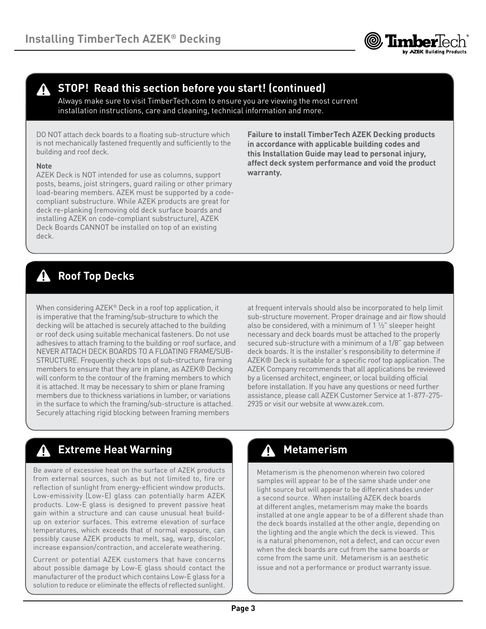

# **STOP! Read this section before you start! (continued)**

Always make sure to visit TimberTech.com to ensure you are viewing the most current installation instructions, care and cleaning, technical information and more.

DO NOT attach deck boards to a floating sub-structure which is not mechanically fastened frequently and sufficiently to the building and roof deck.

### **Note**

AZEK Deck is NOT intended for use as columns, support posts, beams, joist stringers, guard railing or other primary load-bearing members. AZEK must be supported by a codecompliant substructure. While AZEK products are great for deck re-planking (removing old deck surface boards and installing AZEK on code-compliant substructure), AZEK Deck Boards CANNOT be installed on top of an existing deck.

**Failure to install TimberTech AZEK Decking products in accordance with applicable building codes and this Installation Guide may lead to personal injury, affect deck system performance and void the product warranty.**

# **Roof Top Decks**

When considering AZEK® Deck in a roof top application, it is imperative that the framing/sub-structure to which the decking will be attached is securely attached to the building or roof deck using suitable mechanical fasteners. Do not use adhesives to attach framing to the building or roof surface, and NEVER ATTACH DECK BOARDS TO A FLOATING FRAME/SUB-STRUCTURE. Frequently check tops of sub-structure framing members to ensure that they are in plane, as AZEK® Decking will conform to the contour of the framing members to which it is attached. It may be necessary to shim or plane framing members due to thickness variations in lumber, or variations in the surface to which the framing/sub-structure is attached. Securely attaching rigid blocking between framing members

at frequent intervals should also be incorporated to help limit sub-structure movement. Proper drainage and air flow should also be considered, with a minimum of 1 ½" sleeper height necessary and deck boards must be attached to the properly secured sub-structure with a minimum of a 1/8" gap between deck boards. It is the installer's responsibility to determine if AZEK® Deck is suitable for a specific roof top application. The AZEK Company recommends that all applications be reviewed by a licensed architect, engineer, or local building official before installation. If you have any questions or need further assistance, please call AZEK Customer Service at 1-877-275- 2935 or visit our website at www.azek.com.

#### **Extreme Heat Warning Manual Company of Additional Property Metamerism** Λ

Be aware of excessive heat on the surface of AZEK products from external sources, such as but not limited to, fire or reflection of sunlight from energy-efficient window products. Low-emissivity (Low-E) glass can potentially harm AZEK products. Low-E glass is designed to prevent passive heat gain within a structure and can cause unusual heat buildup on exterior surfaces. This extreme elevation of surface temperatures, which exceeds that of normal exposure, can possibly cause AZEK products to melt, sag, warp, discolor, increase expansion/contraction, and accelerate weathering.

Current or potential AZEK customers that have concerns about possible damage by Low-E glass should contact the manufacturer of the product which contains Low-E glass for a solution to reduce or eliminate the effects of reflected sunlight.

Metamerism is the phenomenon wherein two colored samples will appear to be of the same shade under one light source but will appear to be different shades under a second source. When installing AZEK deck boards at different angles, metamerism may make the boards installed at one angle appear to be of a different shade than the deck boards installed at the other angle, depending on the lighting and the angle which the deck is viewed. This is a natural phenomenon, not a defect, and can occur even when the deck boards are cut from the same boards or come from the same unit. Metamerism is an aesthetic issue and not a performance or product warranty issue.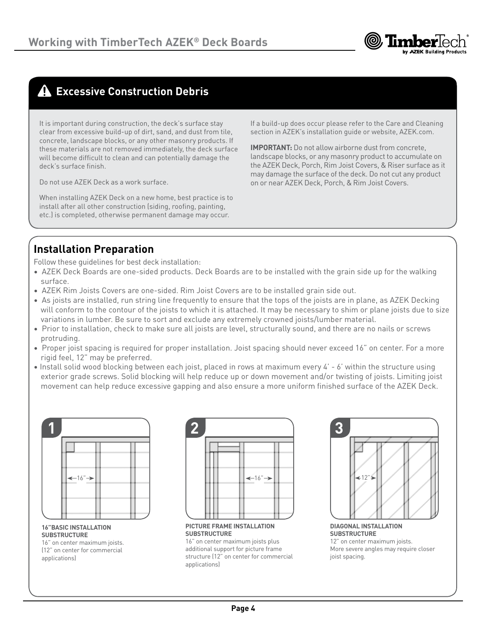

# **Excessive Construction Debris**

It is important during construction, the deck's surface stay clear from excessive build-up of dirt, sand, and dust from tile, concrete, landscape blocks, or any other masonry products. If these materials are not removed immediately, the deck surface will become difficult to clean and can potentially damage the deck's surface finish.

Do not use AZEK Deck as a work surface.

When installing AZEK Deck on a new home, best practice is to install after all other construction (siding, roofing, painting, etc.) is completed, otherwise permanent damage may occur.

If a build-up does occur please refer to the Care and Cleaning section in AZEK's installation guide or website, AZEK.com.

**IMPORTANT:** Do not allow airborne dust from concrete, landscape blocks, or any masonry product to accumulate on the AZEK Deck, Porch, Rim Joist Covers, & Riser surface as it may damage the surface of the deck. Do not cut any product on or near AZEK Deck, Porch, & Rim Joist Covers.

# **Installation Preparation**

Follow these guidelines for best deck installation:

- AZEK Deck Boards are one-sided products. Deck Boards are to be installed with the grain side up for the walking surface.
- AZEK Rim Joists Covers are one-sided. Rim Joist Covers are to be installed grain side out.
- As joists are installed, run string line frequently to ensure that the tops of the joists are in plane, as AZEK Decking will conform to the contour of the joists to which it is attached. It may be necessary to shim or plane joists due to size variations in lumber. Be sure to sort and exclude any extremely crowned joists/lumber material.
- Prior to installation, check to make sure all joists are level, structurally sound, and there are no nails or screws protruding.
- Proper joist spacing is required for proper installation. Joist spacing should never exceed 16" on center. For a more rigid feel, 12" may be preferred.
- Install solid wood blocking between each joist, placed in rows at maximum every 4' 6' within the structure using exterior grade screws. Solid blocking will help reduce up or down movement and/or twisting of joists. Limiting joist movement can help reduce excessive gapping and also ensure a more uniform finished surface of the AZEK Deck.



**16"BASIC INSTALLATION SUBSTRUCTURE**

16" on center maximum joists. (12" on center for commercial applications)



**PICTURE FRAME INSTALLATION SUBSTRUCTURE**

16" on center maximum joists plus additional support for picture frame structure (12" on center for commercial applications)



**DIAGONAL INSTALLATION SUBSTRUCTURE** 12" on center maximum joists. More severe angles may require closer joist spacing.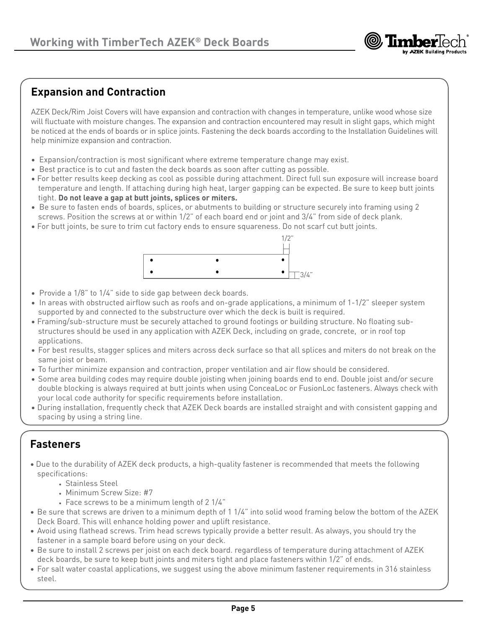

# **Expansion and Contraction**

AZEK Deck/Rim Joist Covers will have expansion and contraction with changes in temperature, unlike wood whose size will fluctuate with moisture changes. The expansion and contraction encountered may result in slight gaps, which might be noticed at the ends of boards or in splice joints. Fastening the deck boards according to the Installation Guidelines will help minimize expansion and contraction.

- Expansion/contraction is most significant where extreme temperature change may exist.
- Best practice is to cut and fasten the deck boards as soon after cutting as possible.
- For better results keep decking as cool as possible during attachment. Direct full sun exposure will increase board temperature and length. If attaching during high heat, larger gapping can be expected. Be sure to keep butt joints tight. **Do not leave a gap at butt joints, splices or miters.**
- Be sure to fasten ends of boards, splices, or abutments to building or structure securely into framing using 2 screws. Position the screws at or within 1/2" of each board end or joint and 3/4" from side of deck plank.
- For butt joints, be sure to trim cut factory ends to ensure squareness. Do not scarf cut butt joints.



- Provide a 1/8" to 1/4" side to side gap between deck boards.
- In areas with obstructed airflow such as roofs and on-grade applications, a minimum of 1-1/2" sleeper system supported by and connected to the substructure over which the deck is built is required.
- Framing/sub-structure must be securely attached to ground footings or building structure. No floating substructures should be used in any application with AZEK Deck, including on grade, concrete, or in roof top applications.
- For best results, stagger splices and miters across deck surface so that all splices and miters do not break on the same joist or beam.
- To further minimize expansion and contraction, proper ventilation and air flow should be considered.
- Some area building codes may require double joisting when joining boards end to end. Double joist and/or secure double blocking is always required at butt joints when using ConceaLoc or FusionLoc fasteners. Always check with your local code authority for specific requirements before installation.
- During installation, frequently check that AZEK Deck boards are installed straight and with consistent gapping and spacing by using a string line.

# **Fasteners**

- Due to the durability of AZEK deck products, a high-quality fastener is recommended that meets the following specifications:
	- Stainless Steel
	- Minimum Screw Size: #7
	- Face screws to be a minimum length of 2 1/4"
- Be sure that screws are driven to a minimum depth of 1 1/4" into solid wood framing below the bottom of the AZEK Deck Board. This will enhance holding power and uplift resistance.
- Avoid using flathead screws. Trim head screws typically provide a better result. As always, you should try the fastener in a sample board before using on your deck.
- Be sure to install 2 screws per joist on each deck board. regardless of temperature during attachment of AZEK deck boards, be sure to keep butt joints and miters tight and place fasteners within 1/2" of ends.
- For salt water coastal applications, we suggest using the above minimum fastener requirements in 316 stainless steel.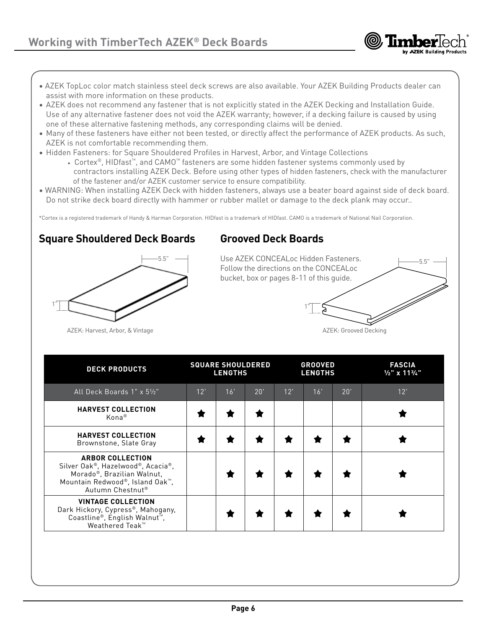- AZEK TopLoc color match stainless steel deck screws are also available. Your AZEK Building Products dealer can assist with more information on these products.
- AZEK does not recommend any fastener that is not explicitly stated in the AZEK Decking and Installation Guide. Use of any alternative fastener does not void the AZEK warranty; however, if a decking failure is caused by using one of these alternative fastening methods, any corresponding claims will be denied.
- Many of these fasteners have either not been tested, or directly affect the performance of AZEK products. As such, AZEK is not comfortable recommending them.
- Hidden Fasteners: for Square Shouldered Profiles in Harvest, Arbor, and Vintage Collections
	- Cortex®, HIDfast™, and CAMO™ fasteners are some hidden fastener systems commonly used by contractors installing AZEK Deck. Before using other types of hidden fasteners, check with the manufacturer of the fastener and/or AZEK customer service to ensure compatibility.
- WARNING: When installing AZEK Deck with hidden fasteners, always use a beater board against side of deck board. Do not strike deck board directly with hammer or rubber mallet or damage to the deck plank may occur..

\*Cortex is a registered trademark of Handy & Harman Corporation. HIDfast is a trademark of HIDfast. CAMO is a trademark of National Nail Corporation.

## **Square Shouldered Deck Boards**

# **Grooved Deck Boards**

5.5" 1"

Use AZEK CONCEALoc Hidden Fasteners. Follow the directions on the CONCEALoc bucket, box or pages 8-11 of this guide.



5.5"

AZEK: Harvest, Arbor, & Vintage

| <b>DECK PRODUCTS</b>                                                                                                                              | <b>SQUARE SHOULDERED</b><br><b>LENGTHS</b> |     |     | <b>GROOVED</b><br><b>LENGTHS</b> |     |     | <b>FASCIA</b><br>$\frac{1}{2}$ " x 11 <sup>3</sup> /4" |
|---------------------------------------------------------------------------------------------------------------------------------------------------|--------------------------------------------|-----|-----|----------------------------------|-----|-----|--------------------------------------------------------|
| All Deck Boards 1" x 51/2"                                                                                                                        | 12'                                        | 16' | 20' | 12'                              | 16' | 20' | 12"                                                    |
| <b>HARVEST COLLECTION</b><br>Kona <sup>®</sup>                                                                                                    |                                            |     |     |                                  |     |     |                                                        |
| <b>HARVEST COLLECTION</b><br>Brownstone, Slate Gray                                                                                               |                                            |     |     |                                  |     |     |                                                        |
| <b>ARBOR COLLECTION</b><br>Silver Oak®, Hazelwood®, Acacia®,<br>Morado®, Brazilian Walnut,<br>Mountain Redwood®, Island Oak™,<br>Autumn Chestnut® |                                            |     |     |                                  |     |     |                                                        |
| <b>VINTAGE COLLECTION</b><br>Dark Hickory, Cypress®, Mahogany,<br>Coastline®, English Walnut <sup>™</sup> ,<br>Weathered Teak™                    |                                            |     |     |                                  |     |     |                                                        |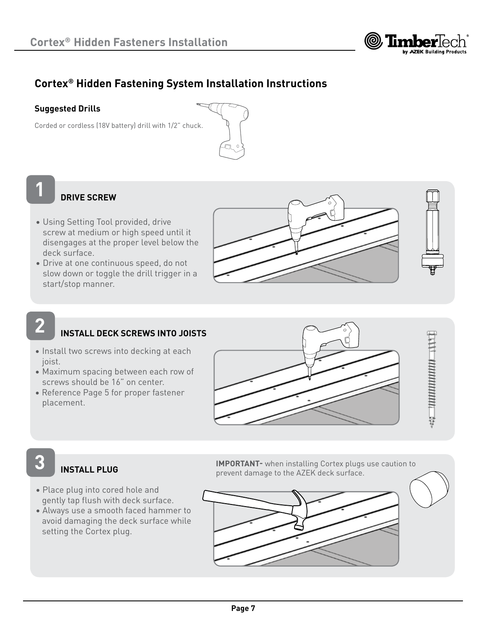

# **Cortex® Hidden Fastening System Installation Instructions**

### **Suggested Drills**

Corded or cordless (18V battery) drill with 1/2" chuck.



# **1**

## **DRIVE SCREW**

- Using Setting Tool provided, drive screw at medium or high speed until it disengages at the proper level below the deck surface.
- Drive at one continuous speed, do not slow down or toggle the drill trigger in a start/stop manner.





# **2**

**3**

# **INSTALL DECK SCREWS INTO JOISTS**

- Install two screws into decking at each joist.
- Maximum spacing between each row of screws should be 16" on center.
- Reference Page 5 for proper fastener placement.



 $\frac{1}{2}$ 

# **INSTALL PLUG**

- Place plug into cored hole and gently tap flush with deck surface.
- Always use a smooth faced hammer to avoid damaging the deck surface while setting the Cortex plug.

**IMPORTANT-** when installing Cortex plugs use caution to prevent damage to the AZEK deck surface.

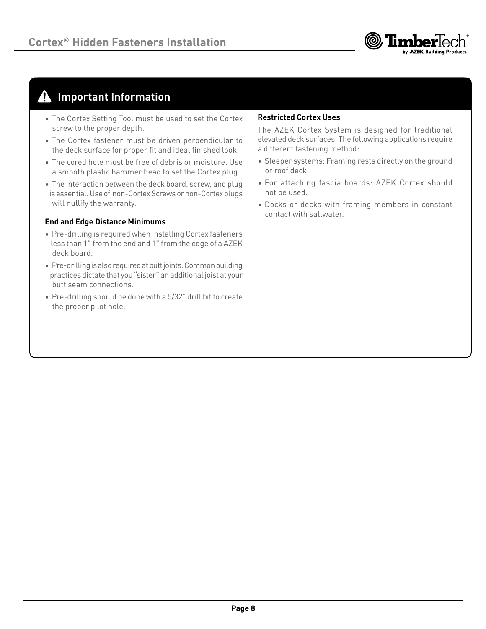

# **Important Information**

- The Cortex Setting Tool must be used to set the Cortex screw to the proper depth.
- The Cortex fastener must be driven perpendicular to the deck surface for proper fit and ideal finished look.
- The cored hole must be free of debris or moisture. Use a smooth plastic hammer head to set the Cortex plug.
- The interaction between the deck board, screw, and plug is essential. Use of non-Cortex Screws or non-Cortex plugs will nullify the warranty.

### **End and Edge Distance Minimums**

- Pre-drilling is required when installing Cortex fasteners less than 1" from the end and 1" from the edge of a AZEK deck board.
- Pre-drilling is also required at butt joints. Common building practices dictate that you "sister" an additional joist at your butt seam connections.
- Pre-drilling should be done with a 5/32" drill bit to create the proper pilot hole.

### **Restricted Cortex Uses**

The AZEK Cortex System is designed for traditional elevated deck surfaces. The following applications require a different fastening method:

- Sleeper systems: Framing rests directly on the ground or roof deck.
- For attaching fascia boards: AZEK Cortex should not be used.
- Docks or decks with framing members in constant contact with saltwater.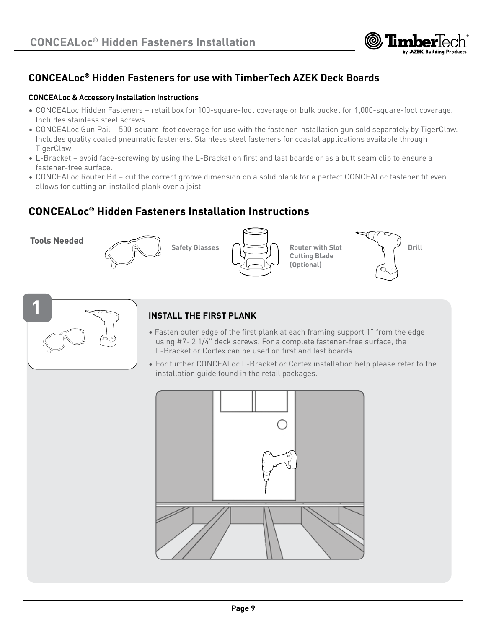

# **CONCEALoc® Hidden Fasteners for use with TimberTech AZEK Deck Boards**

### **CONCEALoc & Accessory Installation Instructions**

- CONCEALoc Hidden Fasteners retail box for 100-square-foot coverage or bulk bucket for 1,000-square-foot coverage. Includes stainless steel screws.
- CONCEALoc Gun Pail 500-square-foot coverage for use with the fastener installation gun sold separately by TigerClaw. Includes quality coated pneumatic fasteners. Stainless steel fasteners for coastal applications available through TigerClaw.
- L-Bracket avoid face-screwing by using the L-Bracket on first and last boards or as a butt seam clip to ensure a fastener-free surface.
- CONCEALoc Router Bit cut the correct groove dimension on a solid plank for a perfect CONCEALoc fastener fit even allows for cutting an installed plank over a joist.

# **CONCEALoc® Hidden Fasteners Installation Instructions**

**Tools Needed**





**Cutting Blade (Optional)**





### **1 INSTALL THE FIRST PLANK**

- Fasten outer edge of the first plank at each framing support 1" from the edge using #7- 2 1/4" deck screws. For a complete fastener-free surface, the L-Bracket or Cortex can be used on first and last boards.
- For further CONCEALoc L-Bracket or Cortex installation help please refer to the installation guide found in the retail packages.

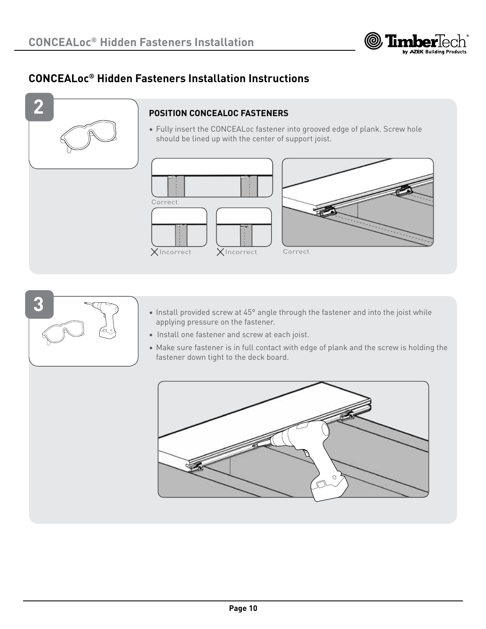

# **CONCEALoc® Hidden Fasteners Installation Instructions**



### **POSITION CONCEALOC FASTENERS**

• Fully insert the CONCEALoc fastener into grooved edge of plank. Screw hole should be lined up with the center of support joist.







- Install provided screw at 45° angle through the fastener and into the joist while applying pressure on the fastener.
- Install one fastener and screw at each joist.
- Make sure fastener is in full contact with edge of plank and the screw is holding the fastener down tight to the deck board.

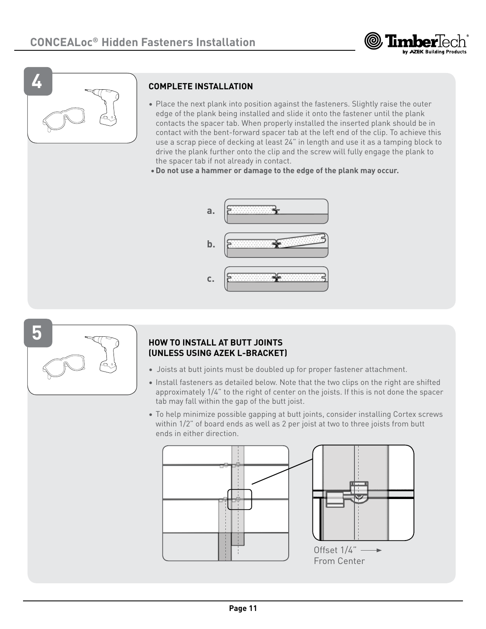



### **COMPLETE INSTALLATION**

- Place the next plank into position against the fasteners. Slightly raise the outer edge of the plank being installed and slide it onto the fastener until the plank contacts the spacer tab. When properly installed the inserted plank should be in contact with the bent-forward spacer tab at the left end of the clip. To achieve this use a scrap piece of decking at least 24" in length and use it as a tamping block to drive the plank further onto the clip and the screw will fully engage the plank to the spacer tab if not already in contact.
- •**Do not use a hammer or damage to the edge of the plank may occur.**





### **HOW TO INSTALL AT BUTT JOINTS (UNLESS USING AZEK L-BRACKET)**

- Joists at butt joints must be doubled up for proper fastener attachment.
- Install fasteners as detailed below. Note that the two clips on the right are shifted approximately 1/4" to the right of center on the joists. If this is not done the spacer tab may fall within the gap of the butt joist.
- To help minimize possible gapping at butt joints, consider installing Cortex screws within 1/2" of board ends as well as 2 per joist at two to three joists from butt ends in either direction.

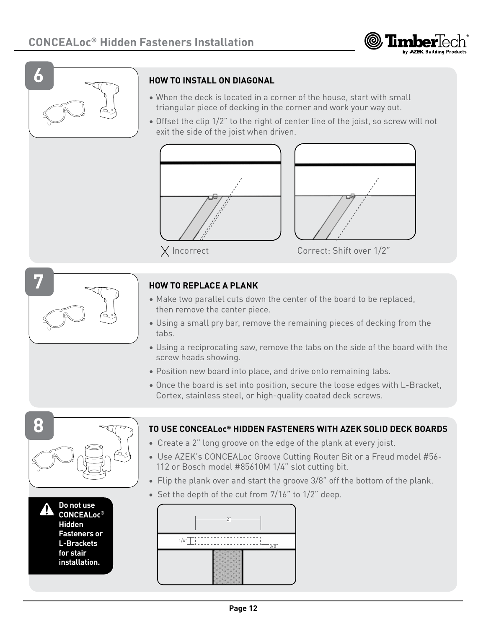



### **HOW TO INSTALL ON DIAGONAL**

- When the deck is located in a corner of the house, start with small triangular piece of decking in the corner and work your way out.
- Offset the clip 1/2" to the right of center line of the joist, so screw will not exit the side of the joist when driven.





Incorrect Correct: Shift over 1/2"



### **HOW TO REPLACE A PLANK**

- Make two parallel cuts down the center of the board to be replaced, then remove the center piece.
- Using a small pry bar, remove the remaining pieces of decking from the tabs.
- Using a reciprocating saw, remove the tabs on the side of the board with the screw heads showing.
- Position new board into place, and drive onto remaining tabs.

112 or Bosch model #85610M 1/4" slot cutting bit.

• Once the board is set into position, secure the loose edges with L-Bracket, Cortex, stainless steel, or high-quality coated deck screws.





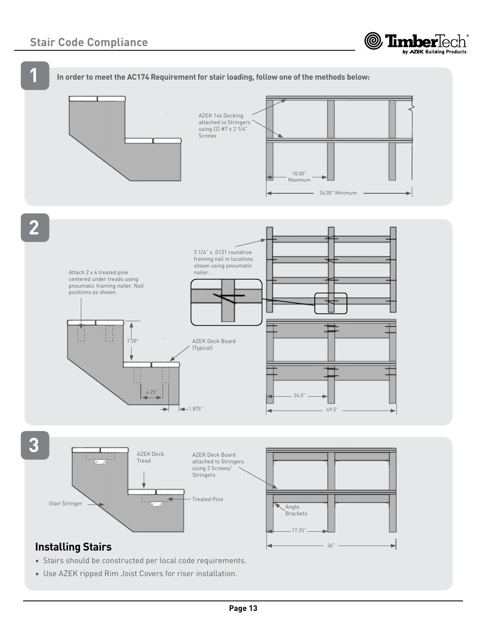









- Stairs should be constructed per local code requirements.
- Use AZEK ripped Rim Joist Covers for riser installation.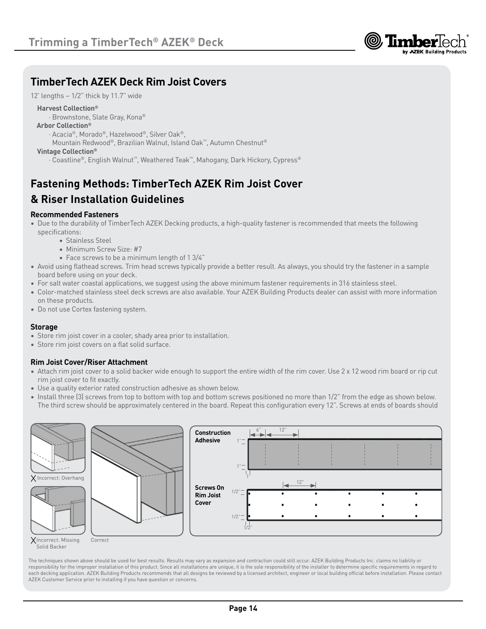

# **TimberTech AZEK Deck Rim Joist Covers**

12' lengths – 1/2" thick by 11.7" wide

### **Harvest Collection®**

- · Brownstone, Slate Gray, Kona®
- **Arbor Collection®**
	- · Acacia®, Morado®, Hazelwood®, Silver Oak®,
	- Mountain Redwood®, Brazilian Walnut, Island Oak™, Autumn Chestnut®

### **Vintage Collection®**

· Coastline®, English Walnut™, Weathered Teak™, Mahogany, Dark Hickory, Cypress®

# **Fastening Methods: TimberTech AZEK Rim Joist Cover & Riser Installation Guidelines**

### **Recommended Fasteners**

- Due to the durability of TimberTech AZEK Decking products, a high-quality fastener is recommended that meets the following specifications:
	- Stainless Steel
	- Minimum Screw Size: #7
	- Face screws to be a minimum length of 1 3/4"
- Avoid using flathead screws. Trim head screws typically provide a better result. As always, you should try the fastener in a sample board before using on your deck.
- For salt water coastal applications, we suggest using the above minimum fastener requirements in 316 stainless steel.
- Color-matched stainless steel deck screws are also available. Your AZEK Building Products dealer can assist with more information on these products.
- Do not use Cortex fastening system.

### **Storage**

- Store rim joist cover in a cooler, shady area prior to installation.
- Store rim joist covers on a flat solid surface.

### **Rim Joist Cover/Riser Attachment**

- Attach rim joist cover to a solid backer wide enough to support the entire width of the rim cover. Use 2 x 12 wood rim board or rip cut rim joist cover to fit exactly.
- Use a quality exterior rated construction adhesive as shown below.
- Install three (3) screws from top to bottom with top and bottom screws positioned no more than 1/2" from the edge as shown below. The third screw should be approximately centered in the board. Repeat this configuration every 12". Screws at ends of boards should



The techniques shown above should be used for best results. Results may vary as expansion and contraction could still occur. AZEK Building Products Inc. claims no liability or responsibility for the improper installation of this product. Since all installations are unique, it is the sole responsibility of the installer to determine specific requirements in regard to each decking application. AZEK Building Products recommends that all designs be reviewed by a licensed architect, engineer or local building official before installation. Please contact AZEK Customer Service prior to installing if you have question or concerns.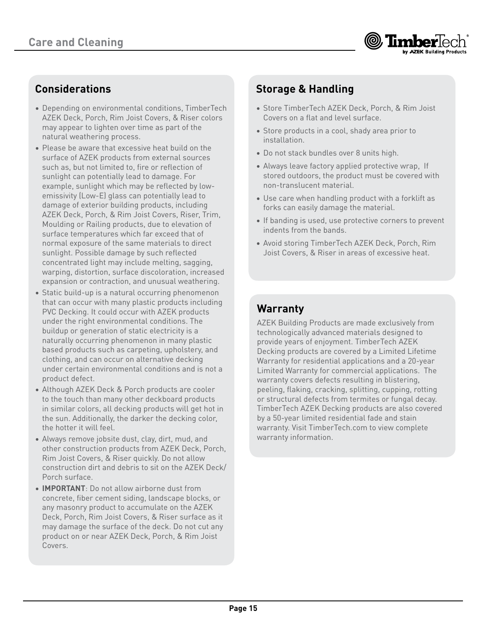

# **Considerations**

- Depending on environmental conditions, TimberTech AZEK Deck, Porch, Rim Joist Covers, & Riser colors may appear to lighten over time as part of the natural weathering process.
- Please be aware that excessive heat build on the surface of AZEK products from external sources such as, but not limited to, fire or reflection of sunlight can potentially lead to damage. For example, sunlight which may be reflected by lowemissivity (Low-E) glass can potentially lead to damage of exterior building products, including AZEK Deck, Porch, & Rim Joist Covers, Riser, Trim, Moulding or Railing products, due to elevation of surface temperatures which far exceed that of normal exposure of the same materials to direct sunlight. Possible damage by such reflected concentrated light may include melting, sagging, warping, distortion, surface discoloration, increased expansion or contraction, and unusual weathering.
- Static build-up is a natural occurring phenomenon that can occur with many plastic products including PVC Decking. It could occur with AZEK products under the right environmental conditions. The buildup or generation of static electricity is a naturally occurring phenomenon in many plastic based products such as carpeting, upholstery, and clothing, and can occur on alternative decking under certain environmental conditions and is not a product defect.
- Although AZEK Deck & Porch products are cooler to the touch than many other deckboard products in similar colors, all decking products will get hot in the sun. Additionally, the darker the decking color, the hotter it will feel.
- Always remove jobsite dust, clay, dirt, mud, and other construction products from AZEK Deck, Porch, Rim Joist Covers, & Riser quickly. Do not allow construction dirt and debris to sit on the AZEK Deck/ Porch surface.
- **IMPORTANT**: Do not allow airborne dust from concrete, fiber cement siding, landscape blocks, or any masonry product to accumulate on the AZEK Deck, Porch, Rim Joist Covers, & Riser surface as it may damage the surface of the deck. Do not cut any product on or near AZEK Deck, Porch, & Rim Joist Covers.

# **Storage & Handling**

- Store TimberTech AZEK Deck, Porch, & Rim Joist Covers on a flat and level surface.
- Store products in a cool, shady area prior to installation.
- Do not stack bundles over 8 units high.
- Always leave factory applied protective wrap, If stored outdoors, the product must be covered with non-translucent material.
- Use care when handling product with a forklift as forks can easily damage the material.
- If banding is used, use protective corners to prevent indents from the bands.
- Avoid storing TimberTech AZEK Deck, Porch, Rim Joist Covers, & Riser in areas of excessive heat.

# **Warranty**

AZEK Building Products are made exclusively from technologically advanced materials designed to provide years of enjoyment. TimberTech AZEK Decking products are covered by a Limited Lifetime Warranty for residential applications and a 20-year Limited Warranty for commercial applications. The warranty covers defects resulting in blistering, peeling, flaking, cracking, splitting, cupping, rotting or structural defects from termites or fungal decay. TimberTech AZEK Decking products are also covered by a 50-year limited residential fade and stain warranty. Visit TimberTech.com to view complete warranty information.